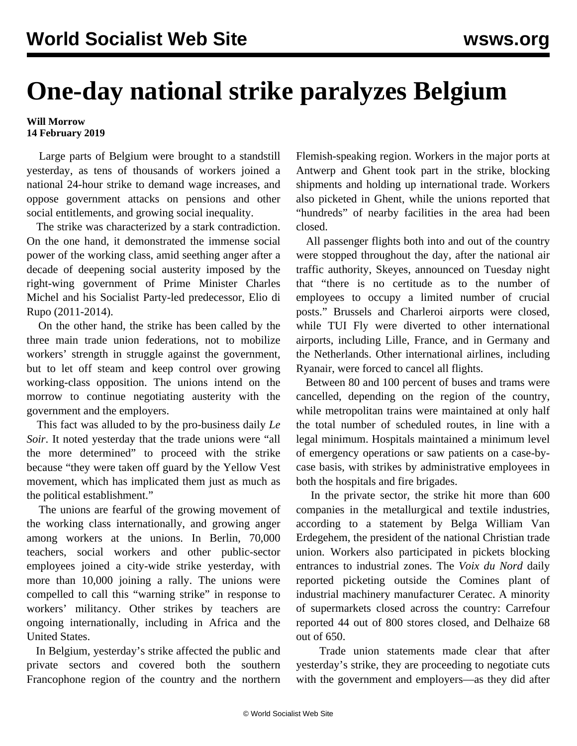## **One-day national strike paralyzes Belgium**

## **Will Morrow 14 February 2019**

 Large parts of Belgium were brought to a standstill yesterday, as tens of thousands of workers joined a national 24-hour strike to demand wage increases, and oppose government attacks on pensions and other social entitlements, and growing social inequality.

 The strike was characterized by a stark contradiction. On the one hand, it demonstrated the immense social power of the working class, amid seething anger after a decade of deepening social austerity imposed by the right-wing government of Prime Minister Charles Michel and his Socialist Party-led predecessor, Elio di Rupo (2011-2014).

 On the other hand, the strike has been called by the three main trade union federations, not to mobilize workers' strength in struggle against the government, but to let off steam and keep control over growing working-class opposition. The unions intend on the morrow to continue negotiating austerity with the government and the employers.

 This fact was alluded to by the pro-business daily *Le Soir*. It noted yesterday that the trade unions were "all the more determined" to proceed with the strike because "they were taken off guard by the Yellow Vest movement, which has implicated them just as much as the political establishment."

 The unions are fearful of the growing movement of the working class internationally, and growing anger among workers at the unions. In Berlin, 70,000 teachers, social workers and other public-sector employees joined a city-wide strike yesterday, with more than 10,000 joining a rally. The unions were compelled to call this "warning strike" in response to workers' militancy. Other strikes by teachers are ongoing internationally, including in Africa and the United States.

 In Belgium, yesterday's strike affected the public and private sectors and covered both the southern Francophone region of the country and the northern

Flemish-speaking region. Workers in the major ports at Antwerp and Ghent took part in the strike, blocking shipments and holding up international trade. Workers also picketed in Ghent, while the unions reported that "hundreds" of nearby facilities in the area had been closed.

 All passenger flights both into and out of the country were stopped throughout the day, after the national air traffic authority, Skeyes, announced on Tuesday night that "there is no certitude as to the number of employees to occupy a limited number of crucial posts." Brussels and Charleroi airports were closed, while TUI Fly were diverted to other international airports, including Lille, France, and in Germany and the Netherlands. Other international airlines, including Ryanair, were forced to cancel all flights.

 Between 80 and 100 percent of buses and trams were cancelled, depending on the region of the country, while metropolitan trains were maintained at only half the total number of scheduled routes, in line with a legal minimum. Hospitals maintained a minimum level of emergency operations or saw patients on a case-bycase basis, with strikes by administrative employees in both the hospitals and fire brigades.

 In the private sector, the strike hit more than 600 companies in the metallurgical and textile industries, according to a statement by Belga William Van Erdegehem, the president of the national Christian trade union. Workers also participated in pickets blocking entrances to industrial zones. The *Voix du Nord* daily reported picketing outside the Comines plant of industrial machinery manufacturer Ceratec. A minority of supermarkets closed across the country: Carrefour reported 44 out of 800 stores closed, and Delhaize 68 out of 650.

 Trade union statements made clear that after yesterday's strike, they are proceeding to negotiate cuts with the government and employers—as they did after